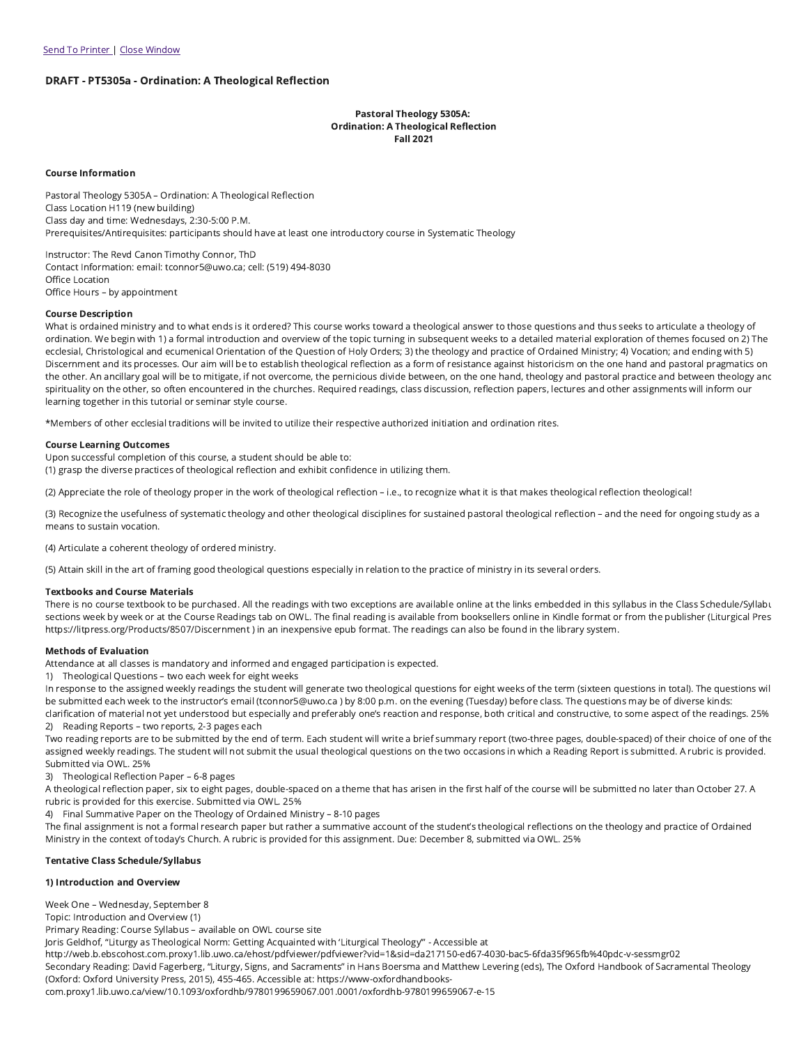## DRAFT - PT5305a - Ordination: A Theological Reflection

### Pastoral Theology 5305A: Ordination: A Theological Reflection Fall 2021

#### Course Information

Pastoral Theology 5305A – Ordination: A Theological Reflection Class Location H119 (new building) Class day and time: Wednesdays, 2:30-5:00 P.M. Prerequisites/Antirequisites: participants should have at least one introductory course in Systematic Theology

Instructor: The Revd Canon Timothy Connor, ThD Contact Information: email: tconnor5@uwo.ca; cell: (519) 494-8030 Office Location Office Hours – by appointment

#### Course Description

What is ordained ministry and to what ends is it ordered? This course works toward a theological answer to those questions and thus seeks to articulate a theology of ordination. We begin with 1) a formal introduction and overview of the topic turning in subsequent weeks to a detailed material exploration of themes focused on 2) The ecclesial, Christological and ecumenical Orientation of the Question of Holy Orders; 3) the theology and practice of Ordained Ministry; 4) Vocation; and ending with 5) Discernment and its processes. Our aim will be to establish theological reflection as a form of resistance against historicism on the one hand and pastoral pragmatics on the other. An ancillary goal will be to mitigate, if not overcome, the pernicious divide between, on the one hand, theology and pastoral practice and between theology and spirituality on the other, so often encountered in the churches. Required readings, class discussion, reflection papers, lectures and other assignments will inform our learning together in this tutorial or seminar style course.

\*Members of other ecclesial traditions will be invited to utilize their respective authorized initiation and ordination rites.

#### Course Learning Outcomes

Upon successful completion of this course, a student should be able to:

(1) grasp the diverse practices of theological reflection and exhibit confidence in utilizing them.

(2) Appreciate the role of theology proper in the work of theological reflection – i.e., to recognize what it is that makes theological reflection theological!

(3) Recognize the usefulness of systematic theology and other theological disciplines for sustained pastoral theological reflection – and the need for ongoing study as a means to sustain vocation.

(4) Articulate a coherent theology of ordered ministry.

(5) Attain skill in the art of framing good theological questions especially in relation to the practice of ministry in its several orders.

#### Textbooks and Course Materials

There is no course textbook to be purchased. All the readings with two exceptions are available online at the links embedded in this syllabus in the Class Schedule/Syllabu sections week by week or at the Course Readings tab on OWL. The final reading is available from booksellers online in Kindle format or from the publisher (Liturgical Pres https://litpress.org/Products/8507/Discernment ) in an inexpensive epub format. The readings can also be found in the library system.

#### Methods of Evaluation

Attendance at all classes is mandatory and informed and engaged participation is expected.

1) Theological Questions – two each week for eight weeks

In response to the assigned weekly readings the student will generate two theological questions for eight weeks of the term (sixteen questions in total). The questions wil be submitted each week to the instructor's email (tconnor5@uwo.ca ) by 8:00 p.m. on the evening (Tuesday) before class. The questions may be of diverse kinds: clarification of material not yet understood but especially and preferably one's reaction and response, both critical and constructive, to some aspect of the readings. 25%

2) Reading Reports – two reports, 2-3 pages each

Two reading reports are to be submitted by the end of term. Each student will write a brief summary report (two-three pages, double-spaced) of their choice of one of the assigned weekly readings. The student will not submit the usual theological questions on the two occasions in which a Reading Report is submitted. A rubric is provided. Submitted via OWL. 25%

3) Theological Reflection Paper – 6-8 pages

A theological reflection paper, six to eight pages, double-spaced on a theme that has arisen in the first half of the course will be submitted no later than October 27. A rubric is provided for this exercise. Submitted via OWL. 25%

4) Final Summative Paper on the Theology of Ordained Ministry – 8-10 pages

The final assignment is not a formal research paper but rather a summative account of the student's theological reflections on the theology and practice of Ordained Ministry in the context of today's Church. A rubric is provided for this assignment. Due: December 8, submitted via OWL. 25%

#### Tentative Class Schedule/Syllabus

# 1) Introduction and Overview

Week One – Wednesday, September 8

Topic: Introduction and Overview (1)

Primary Reading: Course Syllabus – available on OWL course site

Joris Geldhof, "Liturgy as Theological Norm: Getting Acquainted with 'Liturgical Theology'" - Accessible at

http://web.b.ebscohost.com.proxy1.lib.uwo.ca/ehost/pdfviewer/pdfviewer?vid=1&sid=da217150-ed67-4030-bac5-6fda35f965fb%40pdc-v-sessmgr02

Secondary Reading: David Fagerberg, "Liturgy, Signs, and Sacraments" in Hans Boersma and Matthew Levering (eds), The Oxford Handbook of Sacramental Theology (Oxford: Oxford University Press, 2015), 455-465. Accessible at: https://www-oxfordhandbooks-

com.proxy1.lib.uwo.ca/view/10.1093/oxfordhb/9780199659067.001.0001/oxfordhb-9780199659067-e-15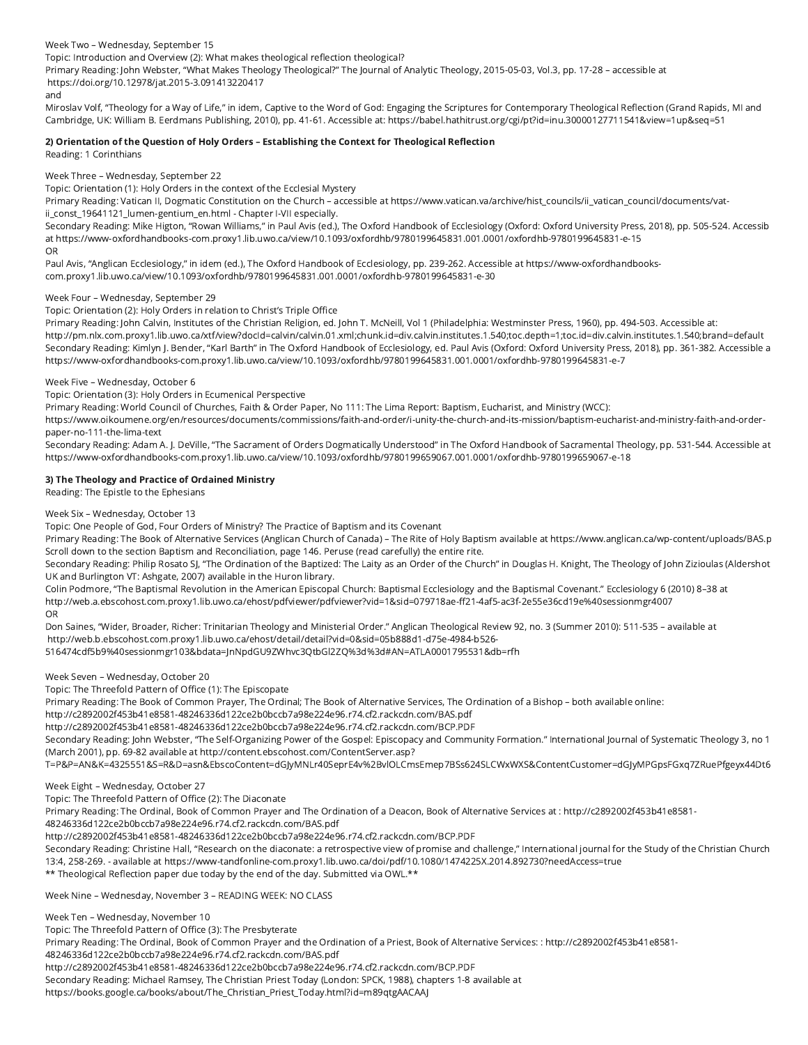Week Two – Wednesday, September 15 Topic: Introduction and Overview (2): What makes theological reflection theological?

Primary Reading: John Webster, "What Makes Theology Theological?" The Journal of Analytic Theology, 2015-05-03, Vol.3, pp. 17-28 – accessible at https://doi.org/10.12978/jat.2015-3.091413220417 and

Miroslav Volf, "Theology for a Way of Life," in idem, Captive to the Word of God: Engaging the Scriptures for Contemporary Theological Reflection (Grand Rapids, MI and Cambridge, UK: William B. Eerdmans Publishing, 2010), pp. 41-61. Accessible at: https://babel.hathitrust.org/cgi/pt?id=inu.30000127711541&view=1up&seq=51

# 2) Orientation of the Question of Holy Orders – Establishing the Context for Theological Reflection

Reading: 1 Corinthians

Week Three – Wednesday, September 22

Topic: Orientation (1): Holy Orders in the context of the Ecclesial Mystery

Primary Reading: Vatican II, Dogmatic Constitution on the Church – accessible at https://www.vatican.va/archive/hist\_councils/ii\_vatican\_council/documents/vatii const 19641121 lumen-gentium en.html - Chapter I-VII especially.

Secondary Reading: Mike Higton, "Rowan Williams," in Paul Avis (ed.), The Oxford Handbook of Ecclesiology (Oxford: Oxford University Press, 2018), pp. 505-524. Accessib at https://www-oxfordhandbooks-com.proxy1.lib.uwo.ca/view/10.1093/oxfordhb/9780199645831.001.0001/oxfordhb-9780199645831-e-15 OR

Paul Avis, "Anglican Ecclesiology," in idem (ed.), The Oxford Handbook of Ecclesiology, pp. 239-262. Accessible at https://www-oxfordhandbookscom.proxy1.lib.uwo.ca/view/10.1093/oxfordhb/9780199645831.001.0001/oxfordhb-9780199645831-e-30

## Week Four – Wednesday, September 29

Topic: Orientation (2): Holy Orders in relation to Christ's Triple Office

Primary Reading: John Calvin, Institutes of the Christian Religion, ed. John T. McNeill, Vol 1 (Philadelphia: Westminster Press, 1960), pp. 494-503. Accessible at: http://pm.nlx.com.proxy1.lib.uwo.ca/xtf/view?docId=calvin/calvin.01.xml;chunk.id=div.calvin.institutes.1.540;toc.depth=1;toc.id=div.calvin.institutes.1.540;brand=default Secondary Reading: Kimlyn J. Bender, "Karl Barth" in The Oxford Handbook of Ecclesiology, ed. Paul Avis (Oxford: Oxford University Press, 2018), pp. 361-382. Accessible a https://www-oxfordhandbooks-com.proxy1.lib.uwo.ca/view/10.1093/oxfordhb/9780199645831.001.0001/oxfordhb-9780199645831-e-7

# Week Five – Wednesday, October 6

Topic: Orientation (3): Holy Orders in Ecumenical Perspective

Primary Reading: World Council of Churches, Faith & Order Paper, No 111: The Lima Report: Baptism, Eucharist, and Ministry (WCC):

https://www.oikoumene.org/en/resources/documents/commissions/faith-and-order/i-unity-the-church-and-its-mission/baptism-eucharist-and-ministry-faith-and-orderpaper-no-111-the-lima-text

Secondary Reading: Adam A. J. DeVille, "The Sacrament of Orders Dogmatically Understood" in The Oxford Handbook of Sacramental Theology, pp. 531-544. Accessible at https://www-oxfordhandbooks-com.proxy1.lib.uwo.ca/view/10.1093/oxfordhb/9780199659067.001.0001/oxfordhb-9780199659067-e-18

# 3) The Theology and Practice of Ordained Ministry

Reading: The Epistle to the Ephesians

Week Six – Wednesday, October 13

Topic: One People of God, Four Orders of Ministry? The Practice of Baptism and its Covenant

Primary Reading: The Book of Alternative Services (Anglican Church of Canada) – The Rite of Holy Baptism available at https://www.anglican.ca/wp-content/uploads/BAS.p Scroll down to the section Baptism and Reconciliation, page 146. Peruse (read carefully) the entire rite.

Secondary Reading: Philip Rosato SJ, "The Ordination of the Baptized: The Laity as an Order of the Church" in Douglas H. Knight, The Theology of John Zizioulas (Aldershot UK and Burlington VT: Ashgate, 2007) available in the Huron library.

Colin Podmore, "The Baptismal Revolution in the American Episcopal Church: Baptismal Ecclesiology and the Baptismal Covenant." Ecclesiology 6 (2010) 8–38 at http://web.a.ebscohost.com.proxy1.lib.uwo.ca/ehost/pdfviewer/pdfviewer?vid=1&sid=079718ae-ff21-4af5-ac3f-2e55e36cd19e%40sessionmgr4007 OR

Don Saines, "Wider, Broader, Richer: Trinitarian Theology and Ministerial Order." Anglican Theological Review 92, no. 3 (Summer 2010): 511-535 – available at http://web.b.ebscohost.com.proxy1.lib.uwo.ca/ehost/detail/detail?vid=0&sid=05b888d1-d75e-4984-b526- 516474cdf5b9%40sessionmgr103&bdata=JnNpdGU9ZWhvc3QtbGl2ZQ%3d%3d#AN=ATLA0001795531&db=rfh

Week Seven – Wednesday, October 20

Topic: The Threefold Pattern of Office (1): The Episcopate

Primary Reading: The Book of Common Prayer, The Ordinal; The Book of Alternative Services, The Ordination of a Bishop – both available online:

http://c2892002f453b41e8581-48246336d122ce2b0bccb7a98e224e96.r74.cf2.rackcdn.com/BAS.pdf

http://c2892002f453b41e8581-48246336d122ce2b0bccb7a98e224e96.r74.cf2.rackcdn.com/BCP.PDF

Secondary Reading: John Webster, "The Self-Organizing Power of the Gospel: Episcopacy and Community Formation." International Journal of Systematic Theology 3, no 1 (March 2001), pp. 69-82 available at http://content.ebscohost.com/ContentServer.asp?

T=P&P=AN&K=4325551&S=R&D=asn&EbscoContent=dGJyMNLr40SeprE4v%2BvlOLCmsEmep7BSs624SLCWxWXS&ContentCustomer=dGJyMPGpsFGxq7ZRuePfgeyx44Dt6

Week Eight – Wednesday, October 27

Topic: The Threefold Pattern of Office (2): The Diaconate

Primary Reading: The Ordinal, Book of Common Prayer and The Ordination of a Deacon, Book of Alternative Services at : http://c2892002f453b41e8581-

48246336d122ce2b0bccb7a98e224e96.r74.cf2.rackcdn.com/BAS.pdf

http://c2892002f453b41e8581-48246336d122ce2b0bccb7a98e224e96.r74.cf2.rackcdn.com/BCP.PDF

Secondary Reading: Christine Hall, "Research on the diaconate: a retrospective view of promise and challenge," International journal for the Study of the Christian Church 13:4, 258-269. - available at https://www-tandfonline-com.proxy1.lib.uwo.ca/doi/pdf/10.1080/1474225X.2014.892730?needAccess=true \*\* Theological Reflection paper due today by the end of the day. Submitted via OWL.\*\*

Week Nine – Wednesday, November 3 – READING WEEK: NO CLASS

Week Ten – Wednesday, November 10

Topic: The Threefold Pattern of Office (3): The Presbyterate

Primary Reading: The Ordinal, Book of Common Prayer and the Ordination of a Priest, Book of Alternative Services: : http://c2892002f453b41e8581-

48246336d122ce2b0bccb7a98e224e96.r74.cf2.rackcdn.com/BAS.pdf

http://c2892002f453b41e8581-48246336d122ce2b0bccb7a98e224e96.r74.cf2.rackcdn.com/BCP.PDF

Secondary Reading: Michael Ramsey, The Christian Priest Today (London: SPCK, 1988), chapters 1-8 available at

https://books.google.ca/books/about/The\_Christian\_Priest\_Today.html?id=m89qtgAACAAJ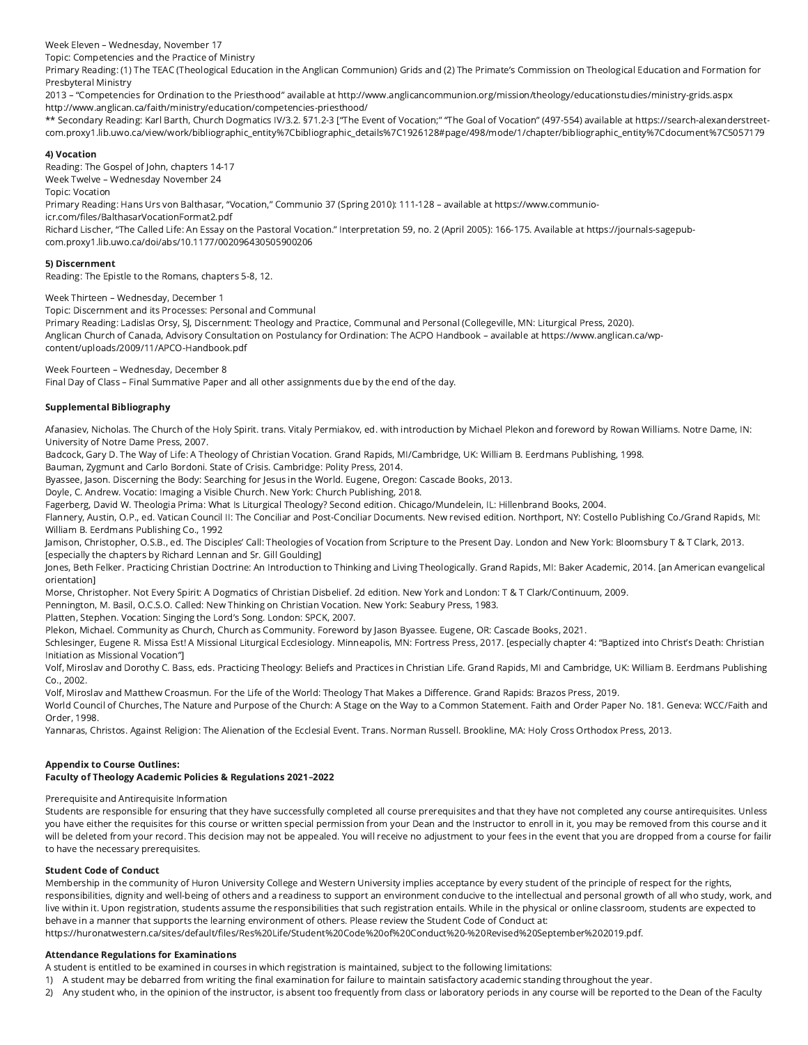Week Eleven – Wednesday, November 17

Topic: Competencies and the Practice of Ministry

Primary Reading: (1) The TEAC (Theological Education in the Anglican Communion) Grids and (2) The Primate's Commission on Theological Education and Formation for Presbyteral Ministry

2013 – "Competencies for Ordination to the Priesthood" available at http://www.anglicancommunion.org/mission/theology/educationstudies/ministry-grids.aspx http://www.anglican.ca/faith/ministry/education/competencies-priesthood/

\*\* Secondary Reading: Karl Barth, Church Dogmatics IV/3.2. §71.2-3 ["The Event of Vocation;" "The Goal of Vocation" (497-554) available at https://search-alexanderstreetcom.proxy1.lib.uwo.ca/view/work/bibliographic\_entity%7Cbibliographic\_details%7C1926128#page/498/mode/1/chapter/bibliographic\_entity%7Cdocument%7C5057179

# 4) Vocation

Reading: The Gospel of John, chapters 14-17 Week Twelve – Wednesday November 24 Topic: Vocation

Primary Reading: Hans Urs von Balthasar, "Vocation," Communio 37 (Spring 2010): 111-128 – available at https://www.communio-

icr.com/files/BalthasarVocationFormat2.pdf

Richard Lischer, "The Called Life: An Essay on the Pastoral Vocation." Interpretation 59, no. 2 (April 2005): 166-175. Available at https://journals-sagepubcom.proxy1.lib.uwo.ca/doi/abs/10.1177/002096430505900206

# 5) Discernment

Reading: The Epistle to the Romans, chapters 5-8, 12.

Week Thirteen – Wednesday, December 1

Topic: Discernment and its Processes: Personal and Communal

Primary Reading: Ladislas Orsy, SJ, Discernment: Theology and Practice, Communal and Personal (Collegeville, MN: Liturgical Press, 2020). Anglican Church of Canada, Advisory Consultation on Postulancy for Ordination: The ACPO Handbook – available at https://www.anglican.ca/wpcontent/uploads/2009/11/APCO-Handbook.pdf

Week Fourteen – Wednesday, December 8

Final Day of Class – Final Summative Paper and all other assignments due by the end of the day.

# Supplemental Bibliography

Afanasiev, Nicholas. The Church of the Holy Spirit. trans. Vitaly Permiakov, ed. with introduction by Michael Plekon and foreword by Rowan Williams. Notre Dame, IN: University of Notre Dame Press, 2007.

Badcock, Gary D. The Way of Life: A Theology of Christian Vocation. Grand Rapids, MI/Cambridge, UK: William B. Eerdmans Publishing, 1998.

Bauman, Zygmunt and Carlo Bordoni. State of Crisis. Cambridge: Polity Press, 2014.

Byassee, Jason. Discerning the Body: Searching for Jesus in the World. Eugene, Oregon: Cascade Books, 2013.

Doyle, C. Andrew. Vocatio: Imaging a Visible Church. New York: Church Publishing, 2018.

Fagerberg, David W. Theologia Prima: What Is Liturgical Theology? Second edition. Chicago/Mundelein, IL: Hillenbrand Books, 2004.

Flannery, Austin, O.P., ed. Vatican Council II: The Conciliar and Post-Conciliar Documents. New revised edition. Northport, NY: Costello Publishing Co./Grand Rapids, MI: William B. Eerdmans Publishing Co., 1992

Jamison, Christopher, O.S.B., ed. The Disciples' Call: Theologies of Vocation from Scripture to the Present Day. London and New York: Bloomsbury T & T Clark, 2013. [especially the chapters by Richard Lennan and Sr. Gill Goulding]

Jones, Beth Felker. Practicing Christian Doctrine: An Introduction to Thinking and Living Theologically. Grand Rapids, MI: Baker Academic, 2014. [an American evangelical orientation]

Morse, Christopher. Not Every Spirit: A Dogmatics of Christian Disbelief. 2d edition. New York and London: T & T Clark/Continuum, 2009.

Pennington, M. Basil, O.C.S.O. Called: New Thinking on Christian Vocation. New York: Seabury Press, 1983.

Platten, Stephen. Vocation: Singing the Lord's Song. London: SPCK, 2007.

Plekon, Michael. Community as Church, Church as Community. Foreword by Jason Byassee. Eugene, OR: Cascade Books, 2021.

Schlesinger, Eugene R. Missa Est! A Missional Liturgical Ecclesiology. Minneapolis, MN: Fortress Press, 2017. [especially chapter 4: "Baptized into Christ's Death: Christian Initiation as Missional Vocation"]

Volf, Miroslav and Dorothy C. Bass, eds. Practicing Theology: Beliefs and Practices in Christian Life. Grand Rapids, MI and Cambridge, UK: William B. Eerdmans Publishing Co., 2002.

Volf, Miroslav and Matthew Croasmun. For the Life of the World: Theology That Makes a Difference. Grand Rapids: Brazos Press, 2019.

World Council of Churches, The Nature and Purpose of the Church: A Stage on the Way to a Common Statement. Faith and Order Paper No. 181. Geneva: WCC/Faith and Order, 1998.

Yannaras, Christos. Against Religion: The Alienation of the Ecclesial Event. Trans. Norman Russell. Brookline, MA: Holy Cross Orthodox Press, 2013.

# Appendix to Course Outlines:

# Faculty of Theology Academic Policies & Regulations 2021–2022

Prerequisite and Antirequisite Information

Students are responsible for ensuring that they have successfully completed all course prerequisites and that they have not completed any course antirequisites. Unless you have either the requisites for this course or written special permission from your Dean and the Instructor to enroll in it, you may be removed from this course and it will be deleted from your record. This decision may not be appealed. You will receive no adjustment to your fees in the event that you are dropped from a course for failin to have the necessary prerequisites.

# Student Code of Conduct

Membership in the community of Huron University College and Western University implies acceptance by every student of the principle of respect for the rights, responsibilities, dignity and well-being of others and a readiness to support an environment conducive to the intellectual and personal growth of all who study, work, and live within it. Upon registration, students assume the responsibilities that such registration entails. While in the physical or online classroom, students are expected to behave in a manner that supports the learning environment of others. Please review the Student Code of Conduct at:

https://huronatwestern.ca/sites/default/files/Res%20Life/Student%20Code%20of%20Conduct%20-%20Revised%20September%202019.pdf.

# Attendance Regulations for Examinations

A student is entitled to be examined in courses in which registration is maintained, subject to the following limitations:

1) A student may be debarred from writing the final examination for failure to maintain satisfactory academic standing throughout the year.

2) Any student who, in the opinion of the instructor, is absent too frequently from class or laboratory periods in any course will be reported to the Dean of the Faculty